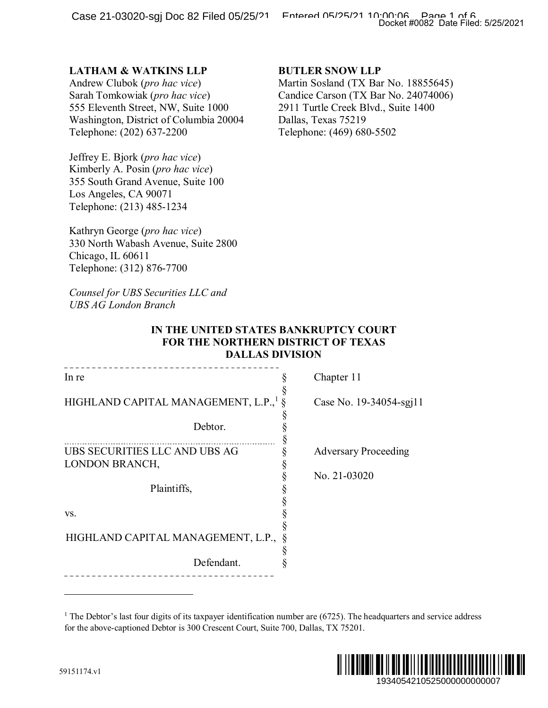## **LATHAM & WATKINS LLP**

### **BUTLER SNOW LLP**

### **IN THE UNITED STATES BANKRUPTCY COURT FOR THE NORTHERN DISTRICT OF TEXAS DALLAS DIVISION**

|                                                                                                                                                                                                                            | Docket #0082 Date Filed: 5/25/2021                                                                                                                                                                |
|----------------------------------------------------------------------------------------------------------------------------------------------------------------------------------------------------------------------------|---------------------------------------------------------------------------------------------------------------------------------------------------------------------------------------------------|
| <b>LATHAM &amp; WATKINS LLP</b><br>Andrew Clubok (pro hac vice)<br>Sarah Tomkowiak (pro hac vice)<br>555 Eleventh Street, NW, Suite 1000<br>Washington, District of Columbia 20004<br>Telephone: (202) 637-2200            | <b>BUTLER SNOW LLP</b><br>Martin Sosland (TX Bar No. 18855645)<br>Candice Carson (TX Bar No. 24074006)<br>2911 Turtle Creek Blvd., Suite 1400<br>Dallas, Texas 75219<br>Telephone: (469) 680-5502 |
| Jeffrey E. Bjork (pro hac vice)<br>Kimberly A. Posin (pro hac vice)<br>355 South Grand Avenue, Suite 100<br>Los Angeles, CA 90071<br>Telephone: (213) 485-1234                                                             |                                                                                                                                                                                                   |
| Kathryn George (pro hac vice)<br>330 North Wabash Avenue, Suite 2800<br>Chicago, IL 60611<br>Telephone: (312) 876-7700                                                                                                     |                                                                                                                                                                                                   |
| Counsel for UBS Securities LLC and<br><b>UBS AG London Branch</b>                                                                                                                                                          |                                                                                                                                                                                                   |
| IN THE UNITED STATES BANKRUPTCY COURT<br>FOR THE NORTHERN DISTRICT OF TEXAS<br><b>DALLAS DIVISION</b>                                                                                                                      |                                                                                                                                                                                                   |
| In re                                                                                                                                                                                                                      | Chapter 11                                                                                                                                                                                        |
| HIGHLAND CAPITAL MANAGEMENT, L.P., <sup>1</sup>                                                                                                                                                                            | Case No. 19-34054-sgj11                                                                                                                                                                           |
| Debtor.                                                                                                                                                                                                                    | §                                                                                                                                                                                                 |
| UBS SECURITIES LLC AND UBS AG<br>LONDON BRANCH,                                                                                                                                                                            | <b>Adversary Proceeding</b><br>§                                                                                                                                                                  |
| Plaintiffs,                                                                                                                                                                                                                | No. 21-03020                                                                                                                                                                                      |
| VS.                                                                                                                                                                                                                        |                                                                                                                                                                                                   |
| HIGHLAND CAPITAL MANAGEMENT, L.P.,                                                                                                                                                                                         |                                                                                                                                                                                                   |
| Defendant.                                                                                                                                                                                                                 |                                                                                                                                                                                                   |
|                                                                                                                                                                                                                            |                                                                                                                                                                                                   |
| <sup>1</sup> The Debtor's last four digits of its taxpayer identification number are $(6725)$ . The headquarters and service address<br>for the above-captioned Debtor is 300 Crescent Court, Suite 700, Dallas, TX 75201. |                                                                                                                                                                                                   |
| 9151174.v1                                                                                                                                                                                                                 | 1934054210525000000000007                                                                                                                                                                         |

<sup>&</sup>lt;sup>1</sup> The Debtor's last four digits of its taxpayer identification number are  $(6725)$ . The headquarters and service address for the above-captioned Debtor is 300 Crescent Court, Suite 700, Dallas, TX 75201.

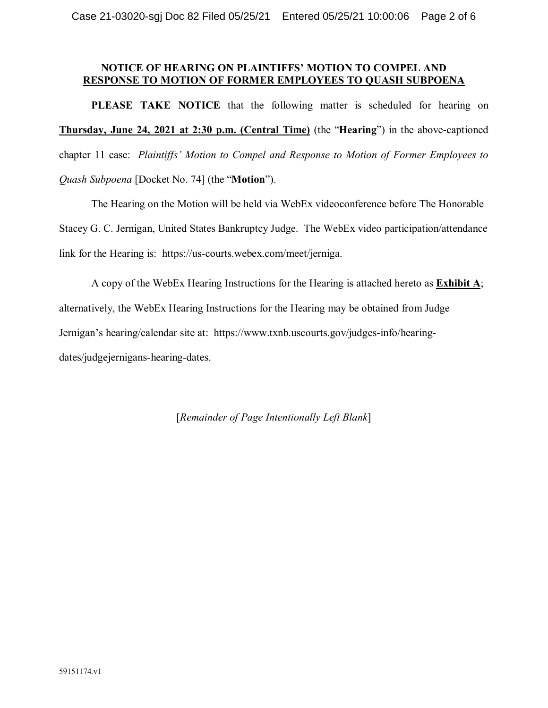### **NOTICE OF HEARING ON PLAINTIFFS' MOTION TO COMPEL AND RESPONSE TO MOTION OF FORMER EMPLOYEES TO QUASH SUBPOENA**

**PLEASE TAKE NOTICE** that the following matter is scheduled for hearing on **Thursday, June 24, 2021 at 2:30 p.m. (Central Time)** (the "**Hearing**") in the above-captioned chapter 11 case: *Plaintiffs' Motion to Compel and Response to Motion of Former Employees to Quash Subpoena* [Docket No. 74] (the "**Motion**").

The Hearing on the Motion will be held via WebEx videoconference before The Honorable Stacey G. C. Jernigan, United States Bankruptcy Judge. The WebEx video participation/attendance link for the Hearing is: https://us-courts.webex.com/meet/jerniga.

A copy of the WebEx Hearing Instructions for the Hearing is attached hereto as **Exhibit A**; alternatively, the WebEx Hearing Instructions for the Hearing may be obtained from Judge Jernigan's hearing/calendar site at: https://www.txnb.uscourts.gov/judges-info/hearingdates/judgejernigans-hearing-dates.

[*Remainder of Page Intentionally Left Blank*]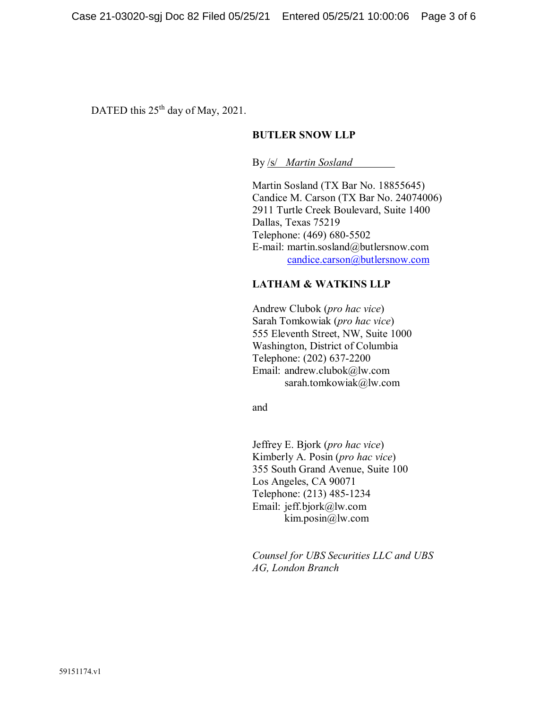DATED this  $25<sup>th</sup>$  day of May, 2021.

### **BUTLER SNOW LLP**

By /s/ *Martin Sosland*

Martin Sosland (TX Bar No. 18855645) Candice M. Carson (TX Bar No. 24074006) 2911 Turtle Creek Boulevard, Suite 1400 Dallas, Texas 75219 Telephone: (469) 680-5502 E-mail: martin.sosland@butlersnow.com [candice.carson@butlersnow.com](mailto:candice.carson@butlersnow.com)

### **LATHAM & WATKINS LLP**

Andrew Clubok (*pro hac vice*) Sarah Tomkowiak (*pro hac vice*) 555 Eleventh Street, NW, Suite 1000 Washington, District of Columbia Telephone: (202) 637-2200 Email: andrew.clubok@lw.com sarah.tomkowiak@lw.com

and

Jeffrey E. Bjork (*pro hac vice*) Kimberly A. Posin (*pro hac vice*) 355 South Grand Avenue, Suite 100 Los Angeles, CA 90071 Telephone: (213) 485-1234 Email: jeff.bjork@lw.com kim.posin@lw.com

*Counsel for UBS Securities LLC and UBS AG, London Branch*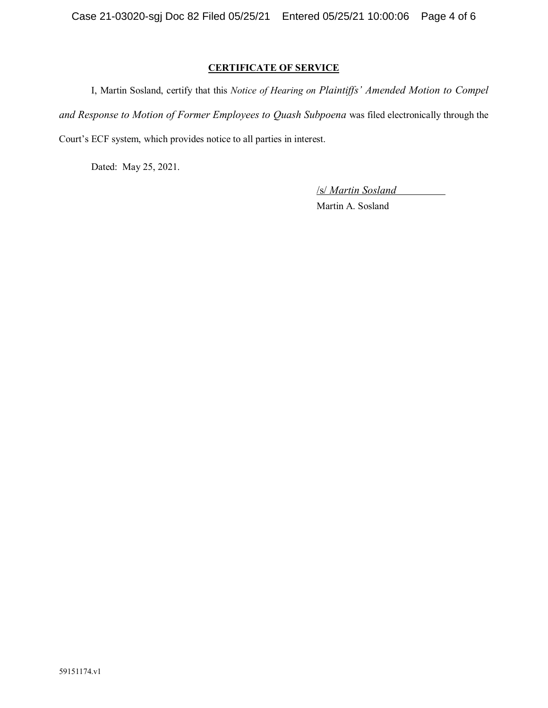### **CERTIFICATE OF SERVICE**

I, Martin Sosland, certify that this *Notice of Hearing on Plaintiffs' Amended Motion to Compel and Response to Motion of Former Employees to Quash Subpoena* was filed electronically through the Court's ECF system, which provides notice to all parties in interest.

Dated: May 25, 2021.

/s/ *Martin Sosland* Martin A. Sosland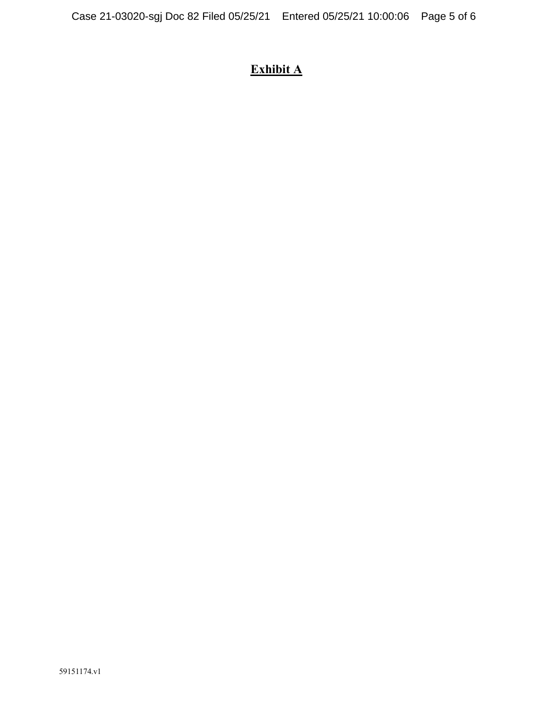# **Exhibit A**